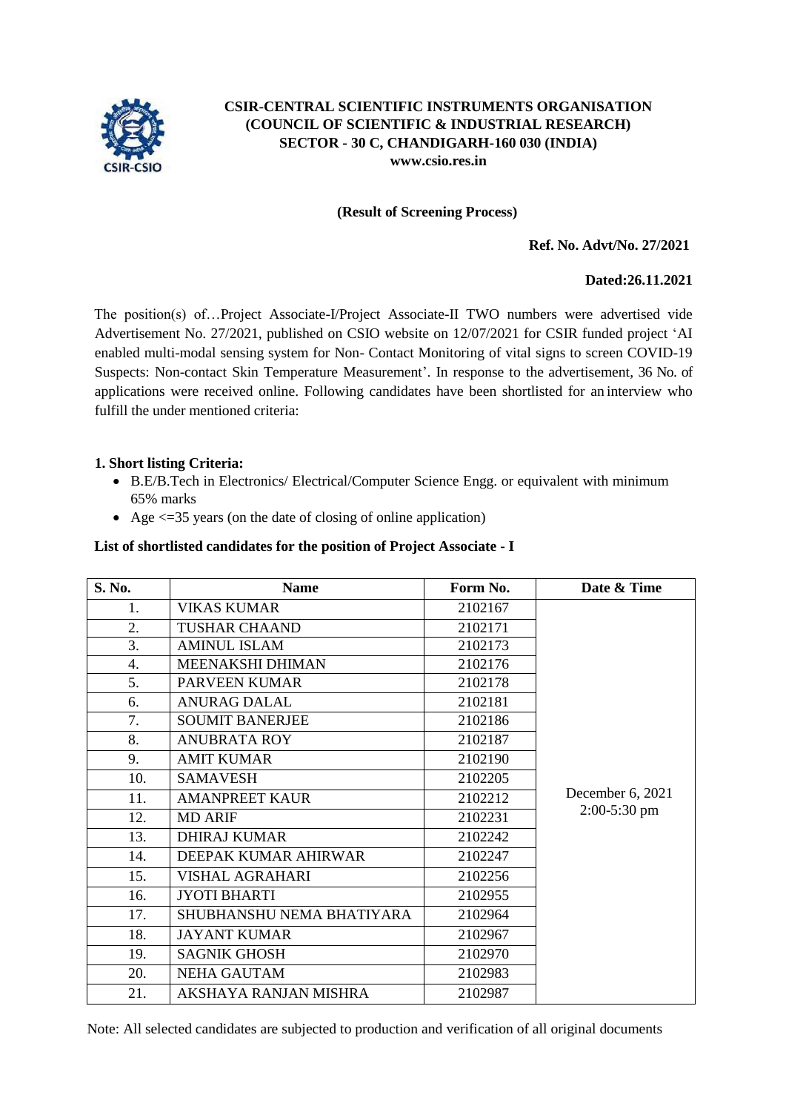

### **CSIR-CENTRAL SCIENTIFIC INSTRUMENTS ORGANISATION (COUNCIL OF SCIENTIFIC & INDUSTRIAL RESEARCH) SECTOR - 30 C, CHANDIGARH-160 030 (INDIA) [www.csio.res.in](http://www.csio.res.in/)**

### **(Result of Screening Process)**

### **Ref. No. Advt/No. 27/2021**

### **Dated:26.11.2021**

The position(s) of…Project Associate-I/Project Associate-II TWO numbers were advertised vide Advertisement No. 27/2021, published on CSIO website on 12/07/2021 for CSIR funded project 'AI enabled multi-modal sensing system for Non- Contact Monitoring of vital signs to screen COVID-19 Suspects: Non-contact Skin Temperature Measurement'. In response to the advertisement, 36 No. of applications were received online. Following candidates have been shortlisted for an interview who fulfill the under mentioned criteria:

### **1. Short listing Criteria:**

- B.E/B.Tech in Electronics/ Electrical/Computer Science Engg. or equivalent with minimum 65% marks
- Age  $\leq$  =35 years (on the date of closing of online application)

#### **List of shortlisted candidates for the position of Project Associate - I**

| S. No. | <b>Name</b>               | Form No. | Date & Time                        |
|--------|---------------------------|----------|------------------------------------|
| 1.     | <b>VIKAS KUMAR</b>        | 2102167  |                                    |
| 2.     | <b>TUSHAR CHAAND</b>      | 2102171  |                                    |
| 3.     | <b>AMINUL ISLAM</b>       | 2102173  |                                    |
| 4.     | MEENAKSHI DHIMAN          | 2102176  |                                    |
| 5.     | <b>PARVEEN KUMAR</b>      | 2102178  |                                    |
| 6.     | <b>ANURAG DALAL</b>       | 2102181  |                                    |
| 7.     | <b>SOUMIT BANERJEE</b>    | 2102186  |                                    |
| 8.     | <b>ANUBRATA ROY</b>       | 2102187  |                                    |
| 9.     | <b>AMIT KUMAR</b>         | 2102190  | December 6, 2021<br>$2:00-5:30$ pm |
| 10.    | <b>SAMAVESH</b>           | 2102205  |                                    |
| 11.    | <b>AMANPREET KAUR</b>     | 2102212  |                                    |
| 12.    | <b>MD ARIF</b>            | 2102231  |                                    |
| 13.    | <b>DHIRAJ KUMAR</b>       | 2102242  |                                    |
| 14.    | DEEPAK KUMAR AHIRWAR      | 2102247  |                                    |
| 15.    | <b>VISHAL AGRAHARI</b>    | 2102256  |                                    |
| 16.    | <b>JYOTI BHARTI</b>       | 2102955  |                                    |
| 17.    | SHUBHANSHU NEMA BHATIYARA | 2102964  |                                    |
| 18.    | <b>JAYANT KUMAR</b>       | 2102967  |                                    |
| 19.    | <b>SAGNIK GHOSH</b>       | 2102970  |                                    |
| 20.    | <b>NEHA GAUTAM</b>        | 2102983  |                                    |
| 21.    | AKSHAYA RANJAN MISHRA     | 2102987  |                                    |

Note: All selected candidates are subjected to production and verification of all original documents